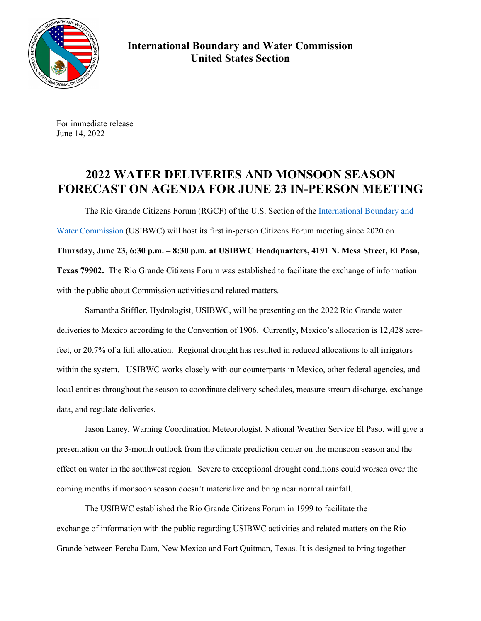

**International Boundary and Water Commission United States Section** 

For immediate release June 14, 2022

## **2022 WATER DELIVERIES AND MONSOON SEASON FORECAST ON AGENDA FOR JUNE 23 IN-PERSON MEETING**

The Rio Grande Citizens Forum (RGCF) of the U.S. Section of the International Boundary and Water Commission (USIBWC) will host its first in-person Citizens Forum meeting since 2020 on **Thursday, June 23, 6:30 p.m. – 8:30 p.m. at USIBWC Headquarters, 4191 N. Mesa Street, El Paso, Texas 79902.** The Rio Grande Citizens Forum was established to facilitate the exchange of information with the public about Commission activities and related matters.

 Samantha Stiffler, Hydrologist, USIBWC, will be presenting on the 2022 Rio Grande water deliveries to Mexico according to the Convention of 1906. Currently, Mexico's allocation is 12,428 acrefeet, or 20.7% of a full allocation. Regional drought has resulted in reduced allocations to all irrigators within the system. USIBWC works closely with our counterparts in Mexico, other federal agencies, and local entities throughout the season to coordinate delivery schedules, measure stream discharge, exchange data, and regulate deliveries.

 Jason Laney, Warning Coordination Meteorologist, National Weather Service El Paso, will give a presentation on the 3-month outlook from the climate prediction center on the monsoon season and the effect on water in the southwest region. Severe to exceptional drought conditions could worsen over the coming months if monsoon season doesn't materialize and bring near normal rainfall.

 The USIBWC established the Rio Grande Citizens Forum in 1999 to facilitate the exchange of information with the public regarding USIBWC activities and related matters on the Rio Grande between Percha Dam, New Mexico and Fort Quitman, Texas. It is designed to bring together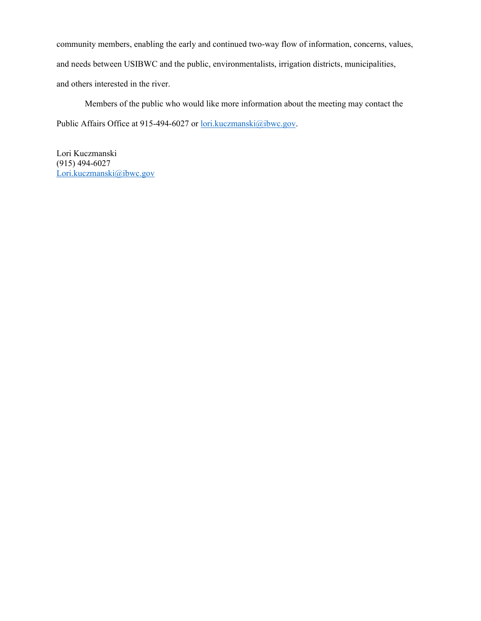community members, enabling the early and continued two-way flow of information, concerns, values, and needs between USIBWC and the public, environmentalists, irrigation districts, municipalities, and others interested in the river.

 Members of the public who would like more information about the meeting may contact the Public Affairs Office at 915-494-6027 or lori.kuczmanski@ibwc.gov.

Lori Kuczmanski (915) 494-6027 Lori.kuczmanski@ibwc.gov